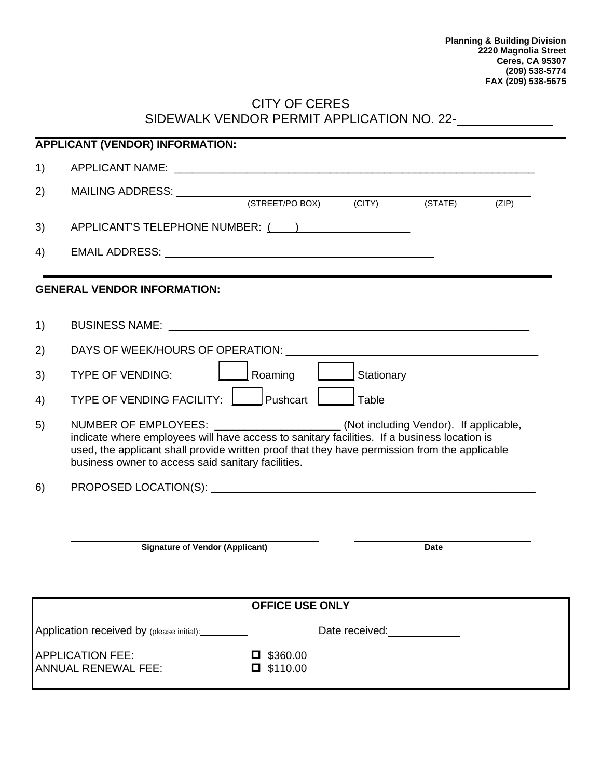### CITY OF CERES SIDEWALK VENDOR PERMIT APPLICATION NO. 22-

| <b>APPLICANT (VENDOR) INFORMATION:</b>                                               |                                                                                                                                                                                                                                                                                                                                        |
|--------------------------------------------------------------------------------------|----------------------------------------------------------------------------------------------------------------------------------------------------------------------------------------------------------------------------------------------------------------------------------------------------------------------------------------|
| 1)                                                                                   |                                                                                                                                                                                                                                                                                                                                        |
| 2)                                                                                   | MAILING ADDRESS: MAILING                                                                                                                                                                                                                                                                                                               |
|                                                                                      | (STREET/PO BOX) (CITY)<br>(STATE)<br>(ZIP)                                                                                                                                                                                                                                                                                             |
| 3)                                                                                   | APPLICANT'S TELEPHONE NUMBER: ( )                                                                                                                                                                                                                                                                                                      |
| 4)                                                                                   |                                                                                                                                                                                                                                                                                                                                        |
|                                                                                      | <b>GENERAL VENDOR INFORMATION:</b>                                                                                                                                                                                                                                                                                                     |
| 1)                                                                                   |                                                                                                                                                                                                                                                                                                                                        |
| 2)                                                                                   |                                                                                                                                                                                                                                                                                                                                        |
| 3)                                                                                   | <b>TYPE OF VENDING:</b><br>Roaming<br>Stationary                                                                                                                                                                                                                                                                                       |
| 4)                                                                                   | Pushcart<br>Table<br>TYPE OF VENDING FACILITY:                                                                                                                                                                                                                                                                                         |
| 5)                                                                                   | NUMBER OF EMPLOYEES: _____________________(Not including Vendor). If applicable,<br>indicate where employees will have access to sanitary facilities. If a business location is<br>used, the applicant shall provide written proof that they have permission from the applicable<br>business owner to access said sanitary facilities. |
| 6)                                                                                   |                                                                                                                                                                                                                                                                                                                                        |
|                                                                                      |                                                                                                                                                                                                                                                                                                                                        |
|                                                                                      | <b>Signature of Vendor (Applicant)</b><br>Date                                                                                                                                                                                                                                                                                         |
|                                                                                      |                                                                                                                                                                                                                                                                                                                                        |
| <b>OFFICE USE ONLY</b>                                                               |                                                                                                                                                                                                                                                                                                                                        |
|                                                                                      | Application received by (please initial): _________<br>Date received:<br><u>Date</u> received:                                                                                                                                                                                                                                         |
| <b>APPLICATION FEE:</b><br>\$360.00<br>$\Box$ \$110.00<br><b>ANNUAL RENEWAL FEE:</b> |                                                                                                                                                                                                                                                                                                                                        |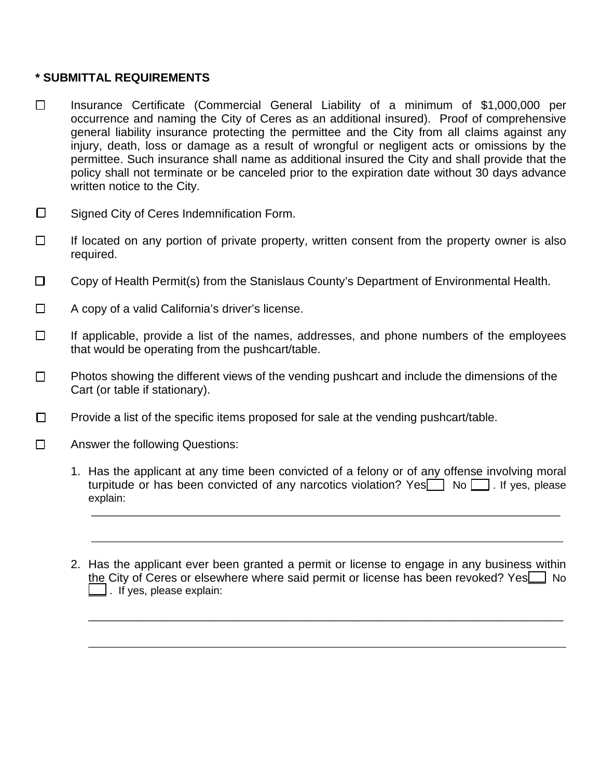#### **\* SUBMITTAL REQUIREMENTS**

- Insurance Certificate (Commercial General Liability of a minimum of \$1,000,000 per occurrence and naming the City of Ceres as an additional insured). Proof of comprehensive general liability insurance protecting the permittee and the City from all claims against any injury, death, loss or damage as a result of wrongful or negligent acts or omissions by the permittee. Such insurance shall name as additional insured the City and shall provide that the policy shall not terminate or be canceled prior to the expiration date without 30 days advance written notice to the City.
- $\square$  Signed City of Ceres Indemnification Form.
- $\Box$  If located on any portion of private property, written consent from the property owner is also required.
- □ Copy of Health Permit(s) from the Stanislaus County's Department of Environmental Health.
- $\Box$  A copy of a valid California's driver's license.
- $\Box$  If applicable, provide a list of the names, addresses, and phone numbers of the employees that would be operating from the pushcart/table.
- $\Box$  Photos showing the different views of the vending pushcart and include the dimensions of the Cart (or table if stationary).
- $\Box$  Provide a list of the specific items proposed for sale at the vending pushcart/table.
- □ Answer the following Questions:
	- 1. Has the applicant at any time been convicted of a felony or of any offense involving moral turpitude or has been convicted of any narcotics violation? Yes  $\Box$  No  $\Box$  . If yes, please explain:

\_\_\_\_\_\_\_\_\_\_\_\_\_\_\_\_\_\_\_\_\_\_\_\_\_\_\_\_\_\_\_\_\_\_\_\_\_\_\_\_\_\_\_\_\_\_\_\_\_\_\_\_\_\_\_\_\_\_\_\_\_\_\_\_\_\_\_\_\_\_\_\_\_\_\_\_\_\_

\_\_\_\_\_\_\_\_\_\_\_\_\_\_\_\_\_\_\_\_\_\_\_\_\_\_\_\_\_\_\_\_\_\_\_\_\_\_\_\_\_\_\_\_\_\_\_\_\_\_\_\_\_\_\_\_\_\_\_\_\_\_\_\_\_\_\_\_\_\_\_\_\_\_\_\_\_\_\_\_

2. Has the applicant ever been granted a permit or license to engage in any business within the City of Ceres or elsewhere where said permit or license has been revoked? Yes\_1 No  $\Box$ . If yes, please explain:

\_\_\_\_\_\_\_\_\_\_\_\_\_\_\_\_\_\_\_\_\_\_\_\_\_\_\_\_\_\_\_\_\_\_\_\_\_\_\_\_\_\_\_\_\_\_\_\_\_\_\_\_\_\_\_\_\_\_\_\_\_\_\_\_\_\_\_\_\_\_\_\_\_\_\_\_\_\_\_

\_\_\_\_\_\_\_\_\_\_\_\_\_\_\_\_\_\_\_\_\_\_\_\_\_\_\_\_\_\_\_\_\_\_\_\_\_\_\_\_\_\_\_\_\_\_\_\_\_\_\_\_\_\_\_\_\_\_\_\_\_\_\_\_\_\_\_\_\_\_\_\_\_\_\_\_\_\_\_\_\_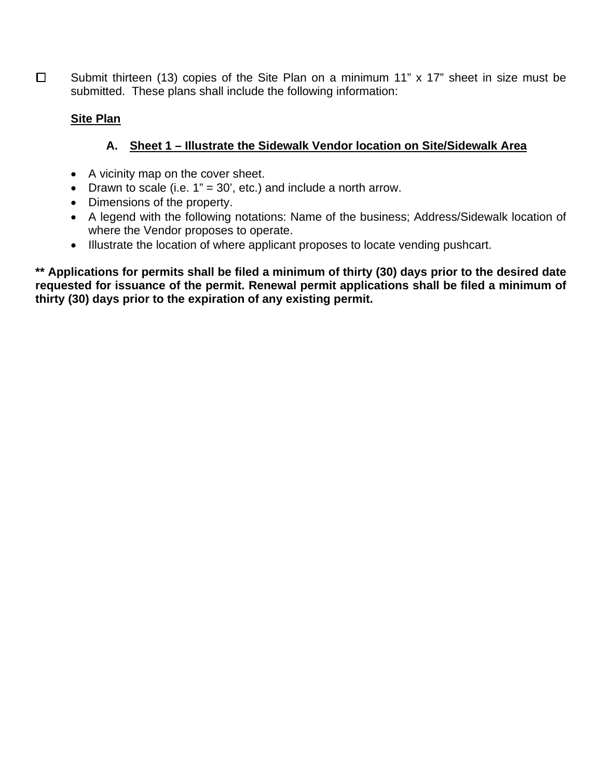$\Box$  Submit thirteen (13) copies of the Site Plan on a minimum 11" x 17" sheet in size must be submitted. These plans shall include the following information:

## **Site Plan**

# **A. Sheet 1 – Illustrate the Sidewalk Vendor location on Site/Sidewalk Area**

- A vicinity map on the cover sheet.
- Drawn to scale (i.e.  $1" = 30'$ , etc.) and include a north arrow.
- Dimensions of the property.
- A legend with the following notations: Name of the business; Address/Sidewalk location of where the Vendor proposes to operate.
- Illustrate the location of where applicant proposes to locate vending pushcart.

**\*\* Applications for permits shall be filed a minimum of thirty (30) days prior to the desired date requested for issuance of the permit. Renewal permit applications shall be filed a minimum of thirty (30) days prior to the expiration of any existing permit.**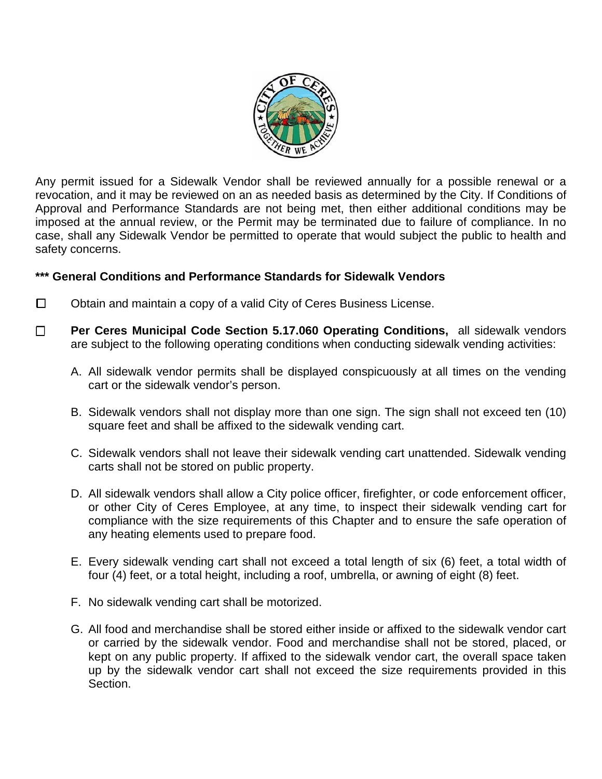

Any permit issued for a Sidewalk Vendor shall be reviewed annually for a possible renewal or a revocation, and it may be reviewed on an as needed basis as determined by the City. If Conditions of Approval and Performance Standards are not being met, then either additional conditions may be imposed at the annual review, or the Permit may be terminated due to failure of compliance. In no case, shall any Sidewalk Vendor be permitted to operate that would subject the public to health and safety concerns.

### **\*\*\* General Conditions and Performance Standards for Sidewalk Vendors**

- $\Box$  Obtain and maintain a copy of a valid City of Ceres Business License.
- **Per Ceres Municipal Code Section 5.17.060 Operating Conditions,** all sidewalk vendors are subject to the following operating conditions when conducting sidewalk vending activities:
	- A. All sidewalk vendor permits shall be displayed conspicuously at all times on the vending cart or the sidewalk vendor's person.
	- B. Sidewalk vendors shall not display more than one sign. The sign shall not exceed ten (10) square feet and shall be affixed to the sidewalk vending cart.
	- C. Sidewalk vendors shall not leave their sidewalk vending cart unattended. Sidewalk vending carts shall not be stored on public property.
	- D. All sidewalk vendors shall allow a City police officer, firefighter, or code enforcement officer, or other City of Ceres Employee, at any time, to inspect their sidewalk vending cart for compliance with the size requirements of this Chapter and to ensure the safe operation of any heating elements used to prepare food.
	- E. Every sidewalk vending cart shall not exceed a total length of six (6) feet, a total width of four (4) feet, or a total height, including a roof, umbrella, or awning of eight (8) feet.
	- F. No sidewalk vending cart shall be motorized.
	- G. All food and merchandise shall be stored either inside or affixed to the sidewalk vendor cart or carried by the sidewalk vendor. Food and merchandise shall not be stored, placed, or kept on any public property. If affixed to the sidewalk vendor cart, the overall space taken up by the sidewalk vendor cart shall not exceed the size requirements provided in this Section.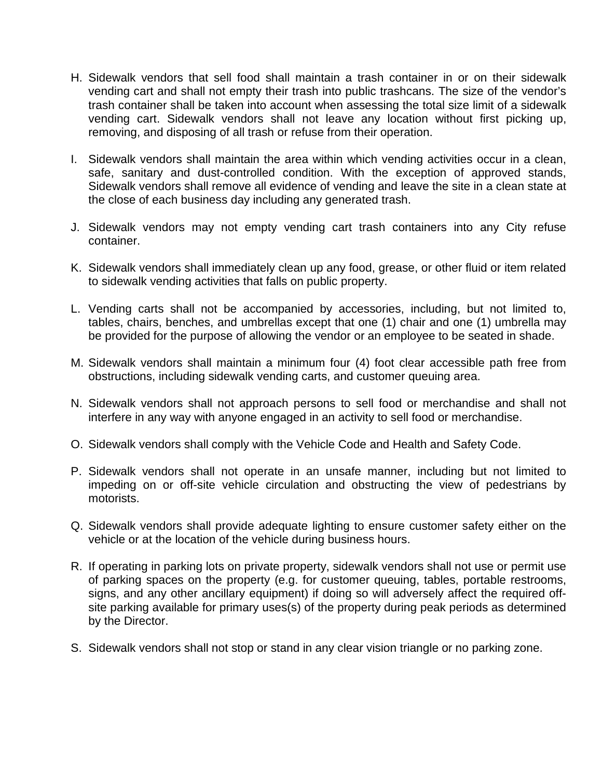- H. Sidewalk vendors that sell food shall maintain a trash container in or on their sidewalk vending cart and shall not empty their trash into public trashcans. The size of the vendor's trash container shall be taken into account when assessing the total size limit of a sidewalk vending cart. Sidewalk vendors shall not leave any location without first picking up, removing, and disposing of all trash or refuse from their operation.
- I. Sidewalk vendors shall maintain the area within which vending activities occur in a clean, safe, sanitary and dust-controlled condition. With the exception of approved stands, Sidewalk vendors shall remove all evidence of vending and leave the site in a clean state at the close of each business day including any generated trash.
- J. Sidewalk vendors may not empty vending cart trash containers into any City refuse container.
- K. Sidewalk vendors shall immediately clean up any food, grease, or other fluid or item related to sidewalk vending activities that falls on public property.
- L. Vending carts shall not be accompanied by accessories, including, but not limited to, tables, chairs, benches, and umbrellas except that one (1) chair and one (1) umbrella may be provided for the purpose of allowing the vendor or an employee to be seated in shade.
- M. Sidewalk vendors shall maintain a minimum four (4) foot clear accessible path free from obstructions, including sidewalk vending carts, and customer queuing area.
- N. Sidewalk vendors shall not approach persons to sell food or merchandise and shall not interfere in any way with anyone engaged in an activity to sell food or merchandise.
- O. Sidewalk vendors shall comply with the Vehicle Code and Health and Safety Code.
- P. Sidewalk vendors shall not operate in an unsafe manner, including but not limited to impeding on or off-site vehicle circulation and obstructing the view of pedestrians by motorists.
- Q. Sidewalk vendors shall provide adequate lighting to ensure customer safety either on the vehicle or at the location of the vehicle during business hours.
- R. If operating in parking lots on private property, sidewalk vendors shall not use or permit use of parking spaces on the property (e.g. for customer queuing, tables, portable restrooms, signs, and any other ancillary equipment) if doing so will adversely affect the required offsite parking available for primary uses(s) of the property during peak periods as determined by the Director.
- S. Sidewalk vendors shall not stop or stand in any clear vision triangle or no parking zone.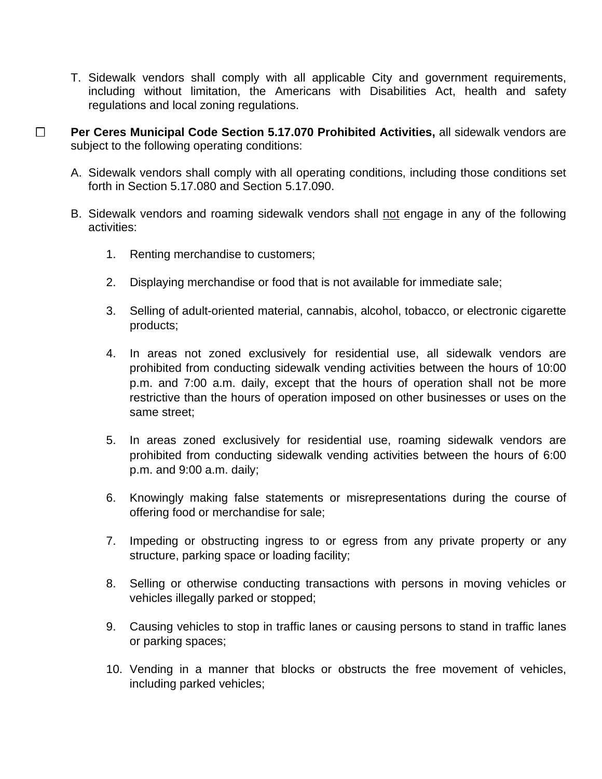- T. Sidewalk vendors shall comply with all applicable City and government requirements, including without limitation, the Americans with Disabilities Act, health and safety regulations and local zoning regulations.
- **Per Ceres Municipal Code Section 5.17.070 Prohibited Activities,** all sidewalk vendors are subject to the following operating conditions:
	- A. Sidewalk vendors shall comply with all operating conditions, including those conditions set forth in Section 5.17.080 and Section 5.17.090.
	- B. Sidewalk vendors and roaming sidewalk vendors shall not engage in any of the following activities:
		- 1. Renting merchandise to customers;
		- 2. Displaying merchandise or food that is not available for immediate sale;
		- 3. Selling of adult-oriented material, cannabis, alcohol, tobacco, or electronic cigarette products;
		- 4. In areas not zoned exclusively for residential use, all sidewalk vendors are prohibited from conducting sidewalk vending activities between the hours of 10:00 p.m. and 7:00 a.m. daily, except that the hours of operation shall not be more restrictive than the hours of operation imposed on other businesses or uses on the same street;
		- 5. In areas zoned exclusively for residential use, roaming sidewalk vendors are prohibited from conducting sidewalk vending activities between the hours of 6:00 p.m. and 9:00 a.m. daily;
		- 6. Knowingly making false statements or misrepresentations during the course of offering food or merchandise for sale;
		- 7. Impeding or obstructing ingress to or egress from any private property or any structure, parking space or loading facility;
		- 8. Selling or otherwise conducting transactions with persons in moving vehicles or vehicles illegally parked or stopped;
		- 9. Causing vehicles to stop in traffic lanes or causing persons to stand in traffic lanes or parking spaces;
		- 10. Vending in a manner that blocks or obstructs the free movement of vehicles, including parked vehicles;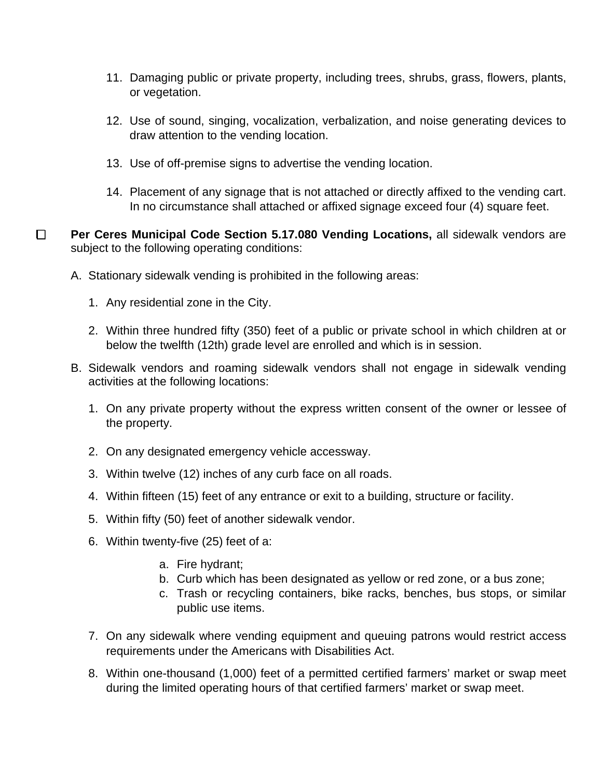- 11. Damaging public or private property, including trees, shrubs, grass, flowers, plants, or vegetation.
- 12. Use of sound, singing, vocalization, verbalization, and noise generating devices to draw attention to the vending location.
- 13. Use of off-premise signs to advertise the vending location.
- 14. Placement of any signage that is not attached or directly affixed to the vending cart. In no circumstance shall attached or affixed signage exceed four (4) square feet.
- **Per Ceres Municipal Code Section 5.17.080 Vending Locations, all sidewalk vendors are** subject to the following operating conditions:
	- A. Stationary sidewalk vending is prohibited in the following areas:
		- 1. Any residential zone in the City.
		- 2. Within three hundred fifty (350) feet of a public or private school in which children at or below the twelfth (12th) grade level are enrolled and which is in session.
	- B. Sidewalk vendors and roaming sidewalk vendors shall not engage in sidewalk vending activities at the following locations:
		- 1. On any private property without the express written consent of the owner or lessee of the property.
		- 2. On any designated emergency vehicle accessway.
		- 3. Within twelve (12) inches of any curb face on all roads.
		- 4. Within fifteen (15) feet of any entrance or exit to a building, structure or facility.
		- 5. Within fifty (50) feet of another sidewalk vendor.
		- 6. Within twenty-five (25) feet of a:
			- a. Fire hydrant;
			- b. Curb which has been designated as yellow or red zone, or a bus zone;
			- c. Trash or recycling containers, bike racks, benches, bus stops, or similar public use items.
		- 7. On any sidewalk where vending equipment and queuing patrons would restrict access requirements under the Americans with Disabilities Act.
		- 8. Within one-thousand (1,000) feet of a permitted certified farmers' market or swap meet during the limited operating hours of that certified farmers' market or swap meet.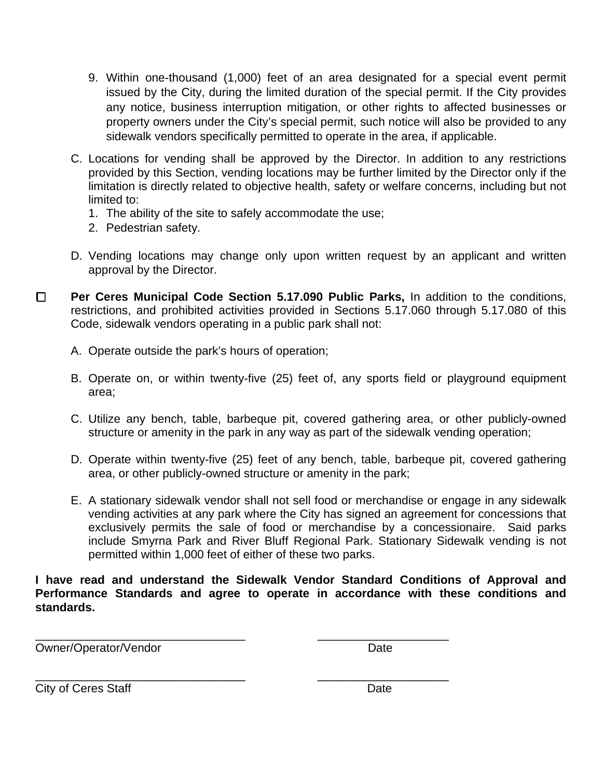- 9. Within one-thousand (1,000) feet of an area designated for a special event permit issued by the City, during the limited duration of the special permit. If the City provides any notice, business interruption mitigation, or other rights to affected businesses or property owners under the City's special permit, such notice will also be provided to any sidewalk vendors specifically permitted to operate in the area, if applicable.
- C. Locations for vending shall be approved by the Director. In addition to any restrictions provided by this Section, vending locations may be further limited by the Director only if the limitation is directly related to objective health, safety or welfare concerns, including but not limited to:
	- 1. The ability of the site to safely accommodate the use;
	- 2. Pedestrian safety.
- D. Vending locations may change only upon written request by an applicant and written approval by the Director.
- **Per Ceres Municipal Code Section 5.17.090 Public Parks, In addition to the conditions,** restrictions, and prohibited activities provided in Sections 5.17.060 through 5.17.080 of this Code, sidewalk vendors operating in a public park shall not:
	- A. Operate outside the park's hours of operation;
	- B. Operate on, or within twenty-five (25) feet of, any sports field or playground equipment area;
	- C. Utilize any bench, table, barbeque pit, covered gathering area, or other publicly-owned structure or amenity in the park in any way as part of the sidewalk vending operation;
	- D. Operate within twenty-five (25) feet of any bench, table, barbeque pit, covered gathering area, or other publicly-owned structure or amenity in the park;
	- E. A stationary sidewalk vendor shall not sell food or merchandise or engage in any sidewalk vending activities at any park where the City has signed an agreement for concessions that exclusively permits the sale of food or merchandise by a concessionaire. Said parks include Smyrna Park and River Bluff Regional Park. Stationary Sidewalk vending is not permitted within 1,000 feet of either of these two parks.

**I have read and understand the Sidewalk Vendor Standard Conditions of Approval and Performance Standards and agree to operate in accordance with these conditions and standards.** 

\_\_\_\_\_\_\_\_\_\_\_\_\_\_\_\_\_\_\_\_\_\_\_\_\_\_\_\_\_\_\_\_ \_\_\_\_\_\_\_\_\_\_\_\_\_\_\_\_\_\_\_\_

Owner/Operator/Vendor Date

\_\_\_\_\_\_\_\_\_\_\_\_\_\_\_\_\_\_\_\_\_\_\_\_\_\_\_\_\_\_\_\_ \_\_\_\_\_\_\_\_\_\_\_\_\_\_\_\_\_\_\_\_

City of Ceres Staff Date Date Date